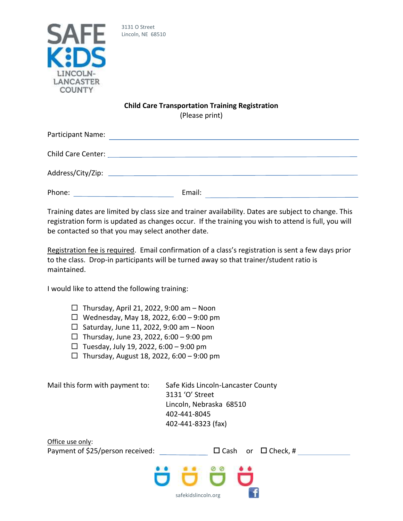



## **Child Care Transportation Training Registration** (Please print)

| Participant Name: |        |
|-------------------|--------|
|                   |        |
|                   |        |
| Phone:            | Email: |

Training dates are limited by class size and trainer availability. Dates are subject to change. This registration form is updated as changes occur. If the training you wish to attend is full, you will be contacted so that you may select another date.

Registration fee is required. Email confirmation of a class's registration is sent a few days prior to the class. Drop-in participants will be turned away so that trainer/student ratio is maintained.

I would like to attend the following training:

- $\Box$  Thursday, April 21, 2022, 9:00 am Noon
- $□$  Wednesday, May 18, 2022, 6:00 9:00 pm
- $\Box$  Saturday, June 11, 2022, 9:00 am Noon
- $\Box$  Thursday, June 23, 2022, 6:00 9:00 pm
- $\Box$  Tuesday, July 19, 2022, 6:00 9:00 pm
- $□$  Thursday, August 18, 2022, 6:00 9:00 pm

Mail this form with payment to: Safe Kids Lincoln-Lancaster County 3131 'O' Street Lincoln, Nebraska 68510 402-441-8045 402-441-8323 (fax)

Office use only: Payment of \$25/person received:  $\square$  Cash or  $\square$  Check, #